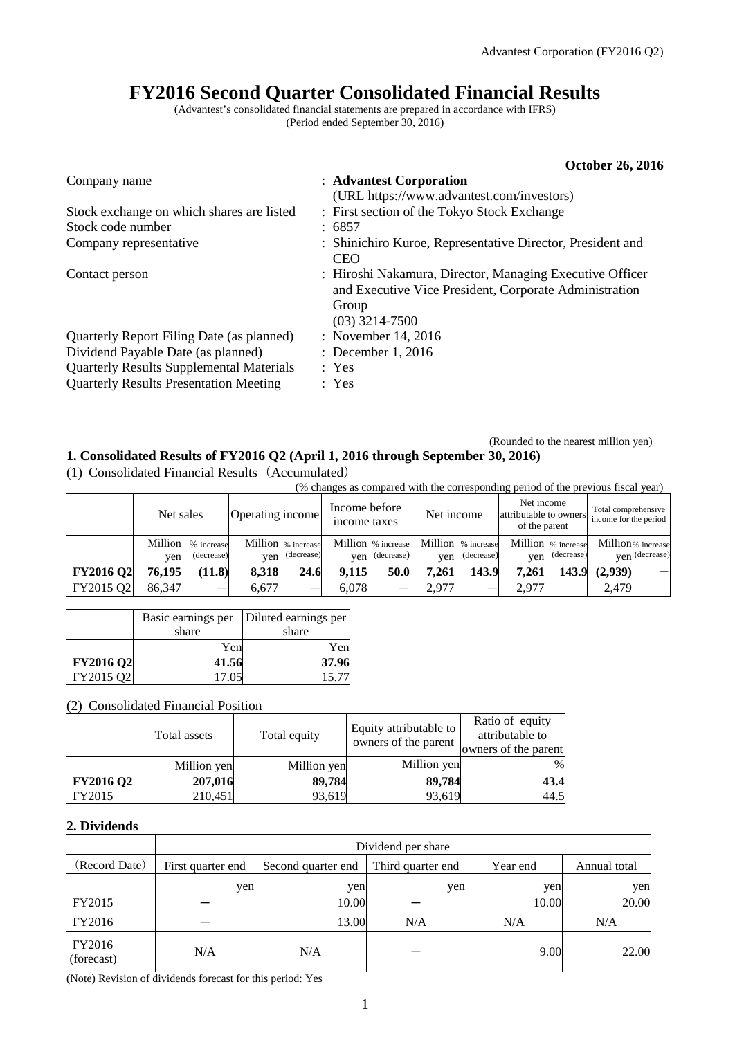# **FY2016 Second Quarter Consolidated Financial Results**

(Advantest's consolidated financial statements are prepared in accordance with IFRS) (Period ended September 30, 2016)

|                                                 | <b>October 26, 2016</b>                                                                                                                         |
|-------------------------------------------------|-------------------------------------------------------------------------------------------------------------------------------------------------|
| Company name                                    | : Advantest Corporation                                                                                                                         |
|                                                 | (URL https://www.advantest.com/investors)                                                                                                       |
| Stock exchange on which shares are listed       | : First section of the Tokyo Stock Exchange                                                                                                     |
| Stock code number                               | : 6857                                                                                                                                          |
| Company representative                          | : Shinichiro Kuroe, Representative Director, President and<br><b>CEO</b>                                                                        |
| Contact person                                  | : Hiroshi Nakamura, Director, Managing Executive Officer<br>and Executive Vice President, Corporate Administration<br>Group<br>$(03)$ 3214-7500 |
| Quarterly Report Filing Date (as planned)       | : November 14, 2016                                                                                                                             |
| Dividend Payable Date (as planned)              | : December 1, 2016                                                                                                                              |
| <b>Quarterly Results Supplemental Materials</b> | : Yes                                                                                                                                           |
| <b>Quarterly Results Presentation Meeting</b>   | : Yes                                                                                                                                           |

(Rounded to the nearest million yen)

## **1. Consolidated Results of FY2016 Q2 (April 1, 2016 through September 30, 2016)**

(1) Consolidated Financial Results(Accumulated)

(% changes as compared with the corresponding period of the previous fiscal year)

|                  | Net sales |                                  | Operating income   |                | Income before<br>income taxes |                                      | Net income |                                  | Net income<br>attributable to owners<br>of the parent |                | Total comprehensive<br>income for the period |                                 |
|------------------|-----------|----------------------------------|--------------------|----------------|-------------------------------|--------------------------------------|------------|----------------------------------|-------------------------------------------------------|----------------|----------------------------------------------|---------------------------------|
|                  | ven       | Million % increase<br>(decrease) | Million % increase | yen (decrease) |                               | Million % increase<br>yen (decrease) | ven        | Million % increase<br>(decrease) | Million % increase                                    | yen (decrease) | Million% increase                            | ven (decrease)                  |
| <b>FY2016 Q2</b> | 76,195    | (11.8)                           | 8.318              | 24.6           | 9.115                         | 50.0                                 | 7.261      | 143.9                            | 7.261                                                 | 143.9          | (2.939)                                      | $\overbrace{\qquad \qquad }^{}$ |
| FY2015 Q2        | 86.347    |                                  | 6.677              |                | 6.078                         |                                      | 2.977      |                                  | 2.977                                                 |                | 2.479                                        |                                 |

|                  | Basic earnings per | Diluted earnings per |
|------------------|--------------------|----------------------|
|                  | share              | share                |
|                  | Yen                | Yen                  |
| <b>FY2016 Q2</b> | 41.56              | 37.96                |
| FY2015 Q2        | 17.05              | 15.77                |

## (2) Consolidated Financial Position

|                  | Total assets | Total equity | Equity attributable to<br>owners of the parent | Ratio of equity<br>attributable to<br>owners of the parent |
|------------------|--------------|--------------|------------------------------------------------|------------------------------------------------------------|
|                  | Million yen  | Million yen  | Million yen                                    | %                                                          |
| <b>FY2016 Q2</b> | 207,016      | 89,784       | 89,784                                         | 43.4                                                       |
| FY2015           | 210,451      | 93,619       | 93,619                                         | 44.5                                                       |

#### **2. Dividends**

|                      | Dividend per share |                    |                   |          |              |  |
|----------------------|--------------------|--------------------|-------------------|----------|--------------|--|
| (Record Date)        | First quarter end  | Second quarter end | Third quarter end | Year end | Annual total |  |
|                      | yen                | yen                | yen               | yen      | yen          |  |
| FY2015               |                    | 10.00              |                   | 10.00    | 20.00        |  |
| FY2016               |                    | 13.00              | N/A               | N/A      | N/A          |  |
| FY2016<br>(forecast) | N/A                | N/A                |                   | 9.00     | 22.00        |  |

(Note) Revision of dividends forecast for this period: Yes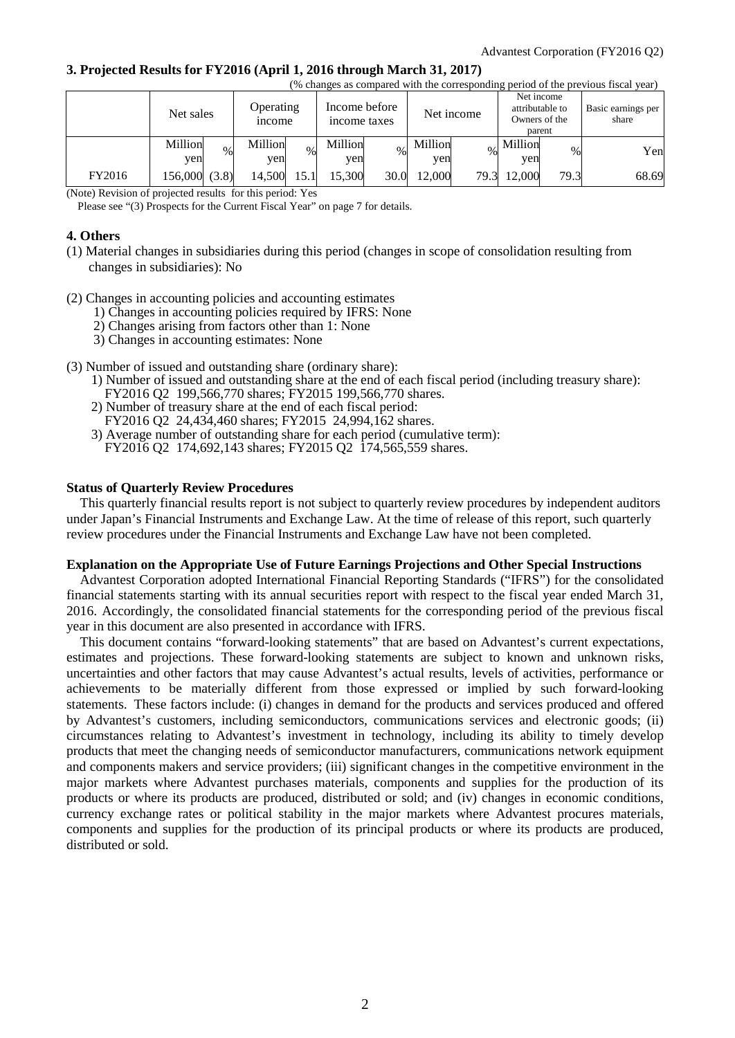#### **3. Projected Results for FY2016 (April 1, 2016 through March 31, 2017)**

|        | (% changes as compared with the corresponding period of the previous fiscal year) |                                   |                               |                |                                                          |                             |  |  |
|--------|-----------------------------------------------------------------------------------|-----------------------------------|-------------------------------|----------------|----------------------------------------------------------|-----------------------------|--|--|
|        | Net sales                                                                         | <b>Operating</b><br><i>n</i> come | Income before<br>income taxes | Net income     | Net income<br>attributable to<br>Owners of the<br>parent | Basic earnings per<br>share |  |  |
|        | Million<br>$\%$<br>ven                                                            | Million<br>$\%$<br>ven            | Million<br>$\%$<br>yen        | Million<br>yen | Million<br>$\%$<br>yen                                   | Yen                         |  |  |
| FY2016 | 156,000 (3.8)                                                                     | 14,500<br>15.1                    | 15.300<br>30.0                | 12.000<br>79.3 | 79.3<br>12,000                                           | 68.69                       |  |  |

(Note) Revision of projected results for this period: Yes

Please see "(3) Prospects for the Current Fiscal Year" on page 7 for details.

## **4. Others**

- (1) Material changes in subsidiaries during this period (changes in scope of consolidation resulting from changes in subsidiaries): No
- (2) Changes in accounting policies and accounting estimates
	- 1) Changes in accounting policies required by IFRS: None
	- 2) Changes arising from factors other than 1: None
	- 3) Changes in accounting estimates: None
- (3) Number of issued and outstanding share (ordinary share):
	- 1) Number of issued and outstanding share at the end of each fiscal period (including treasury share):
	- FY2016 Q2 199,566,770 shares; FY2015 199,566,770 shares.
	- 2) Number of treasury share at the end of each fiscal period:
	- FY2016 Q2 24,434,460 shares; FY2015 24,994,162 shares.
	- 3) Average number of outstanding share for each period (cumulative term): FY2016 Q2 174,692,143 shares; FY2015 Q2 174,565,559 shares.

#### **Status of Quarterly Review Procedures**

This quarterly financial results report is not subject to quarterly review procedures by independent auditors under Japan's Financial Instruments and Exchange Law. At the time of release of this report, such quarterly review procedures under the Financial Instruments and Exchange Law have not been completed.

#### **Explanation on the Appropriate Use of Future Earnings Projections and Other Special Instructions**

Advantest Corporation adopted International Financial Reporting Standards ("IFRS") for the consolidated financial statements starting with its annual securities report with respect to the fiscal year ended March 31, 2016. Accordingly, the consolidated financial statements for the corresponding period of the previous fiscal year in this document are also presented in accordance with IFRS.

This document contains "forward-looking statements" that are based on Advantest's current expectations, estimates and projections. These forward-looking statements are subject to known and unknown risks, uncertainties and other factors that may cause Advantest's actual results, levels of activities, performance or achievements to be materially different from those expressed or implied by such forward-looking statements. These factors include: (i) changes in demand for the products and services produced and offered by Advantest's customers, including semiconductors, communications services and electronic goods; (ii) circumstances relating to Advantest's investment in technology, including its ability to timely develop products that meet the changing needs of semiconductor manufacturers, communications network equipment and components makers and service providers; (iii) significant changes in the competitive environment in the major markets where Advantest purchases materials, components and supplies for the production of its products or where its products are produced, distributed or sold; and (iv) changes in economic conditions, currency exchange rates or political stability in the major markets where Advantest procures materials, components and supplies for the production of its principal products or where its products are produced, distributed or sold.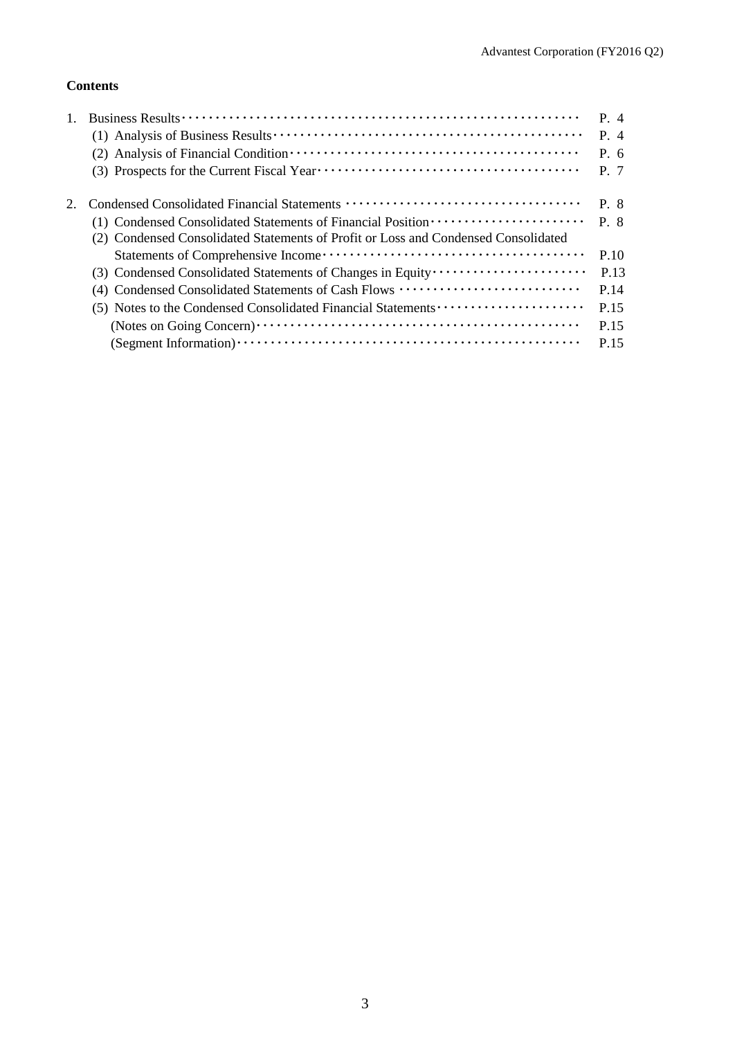# **Contents**

|                                                                                                                                                                         | P. 4<br>$P_4$<br>$P_{0}$ 6<br>P. 7 |
|-------------------------------------------------------------------------------------------------------------------------------------------------------------------------|------------------------------------|
| (1) Condensed Consolidated Statements of Financial Position ·····················<br>(2) Condensed Consolidated Statements of Profit or Loss and Condensed Consolidated | P. 8<br>$P \cdot 8$                |
|                                                                                                                                                                         | P.10                               |
| (3) Condensed Consolidated Statements of Changes in Equity                                                                                                              | P.13                               |
| (4) Condensed Consolidated Statements of Cash Flows                                                                                                                     | P.14                               |
|                                                                                                                                                                         | P.15                               |
|                                                                                                                                                                         | P 15                               |
|                                                                                                                                                                         | P.15                               |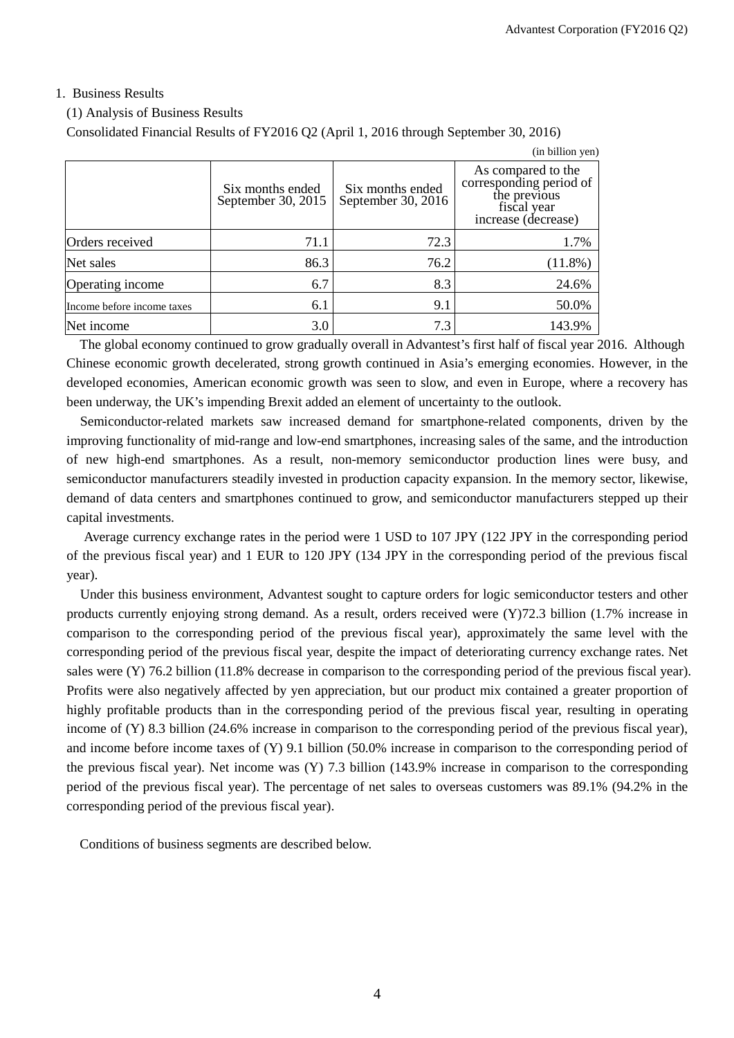## 1. Business Results

## (1) Analysis of Business Results

Consolidated Financial Results of FY2016 Q2 (April 1, 2016 through September 30, 2016)

|                            |                                        |                                        | (in billion yen)                                                                                    |
|----------------------------|----------------------------------------|----------------------------------------|-----------------------------------------------------------------------------------------------------|
|                            | Six months ended<br>September 30, 2015 | Six months ended<br>September 30, 2016 | As compared to the<br>corresponding period of<br>the previous<br>fiscal year<br>increase (decrease) |
| Orders received            | 71.1                                   | 72.3                                   | 1.7%                                                                                                |
| Net sales                  | 86.3                                   | 76.2                                   | $(11.8\%)$                                                                                          |
| Operating income           | 6.7                                    | 8.3                                    | 24.6%                                                                                               |
| Income before income taxes | 6.1                                    | 9.1                                    | 50.0%                                                                                               |
| Net income                 | 3.0                                    | 7.3                                    | 143.9%                                                                                              |

The global economy continued to grow gradually overall in Advantest's first half of fiscal year 2016. Although Chinese economic growth decelerated, strong growth continued in Asia's emerging economies. However, in the developed economies, American economic growth was seen to slow, and even in Europe, where a recovery has been underway, the UK's impending Brexit added an element of uncertainty to the outlook.

Semiconductor-related markets saw increased demand for smartphone-related components, driven by the improving functionality of mid-range and low-end smartphones, increasing sales of the same, and the introduction of new high-end smartphones. As a result, non-memory semiconductor production lines were busy, and semiconductor manufacturers steadily invested in production capacity expansion. In the memory sector, likewise, demand of data centers and smartphones continued to grow, and semiconductor manufacturers stepped up their capital investments.

Average currency exchange rates in the period were 1 USD to 107 JPY (122 JPY in the corresponding period of the previous fiscal year) and 1 EUR to 120 JPY (134 JPY in the corresponding period of the previous fiscal year).

Under this business environment, Advantest sought to capture orders for logic semiconductor testers and other products currently enjoying strong demand. As a result, orders received were (Y)72.3 billion (1.7% increase in comparison to the corresponding period of the previous fiscal year), approximately the same level with the corresponding period of the previous fiscal year, despite the impact of deteriorating currency exchange rates. Net sales were (Y) 76.2 billion (11.8% decrease in comparison to the corresponding period of the previous fiscal year). Profits were also negatively affected by yen appreciation, but our product mix contained a greater proportion of highly profitable products than in the corresponding period of the previous fiscal year, resulting in operating income of (Y) 8.3 billion (24.6% increase in comparison to the corresponding period of the previous fiscal year), and income before income taxes of (Y) 9.1 billion (50.0% increase in comparison to the corresponding period of the previous fiscal year). Net income was (Y) 7.3 billion (143.9% increase in comparison to the corresponding period of the previous fiscal year). The percentage of net sales to overseas customers was 89.1% (94.2% in the corresponding period of the previous fiscal year).

Conditions of business segments are described below.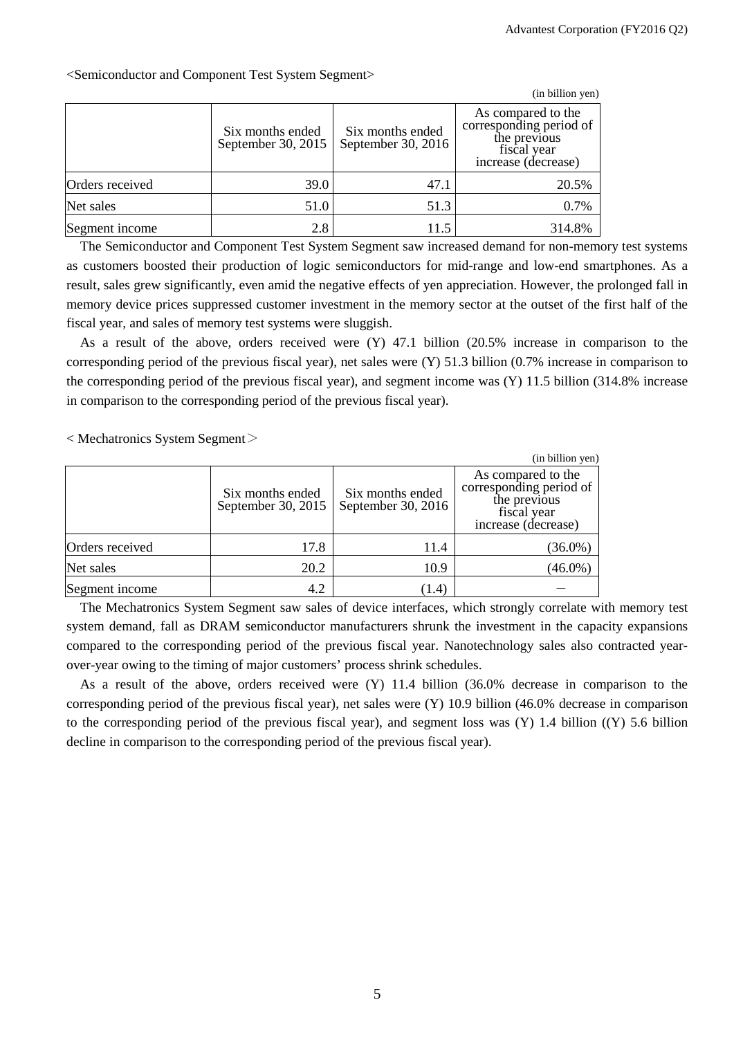|                 |                                        |                                        | (in billion yen)                                                                                    |
|-----------------|----------------------------------------|----------------------------------------|-----------------------------------------------------------------------------------------------------|
|                 | Six months ended<br>September 30, 2015 | Six months ended<br>September 30, 2016 | As compared to the<br>corresponding period of<br>the previous<br>fiscal vear<br>increase (decrease) |
| Orders received | 39.0                                   | 47.1                                   | 20.5%                                                                                               |
| Net sales       | 51.0                                   | 51.3                                   | 0.7%                                                                                                |
| Segment income  | 2.8                                    | 11.5                                   | 314.8%                                                                                              |

<Semiconductor and Component Test System Segment>

The Semiconductor and Component Test System Segment saw increased demand for non-memory test systems as customers boosted their production of logic semiconductors for mid-range and low-end smartphones. As a result, sales grew significantly, even amid the negative effects of yen appreciation. However, the prolonged fall in memory device prices suppressed customer investment in the memory sector at the outset of the first half of the fiscal year, and sales of memory test systems were sluggish.

As a result of the above, orders received were (Y) 47.1 billion (20.5% increase in comparison to the corresponding period of the previous fiscal year), net sales were (Y) 51.3 billion (0.7% increase in comparison to the corresponding period of the previous fiscal year), and segment income was (Y) 11.5 billion (314.8% increase in comparison to the corresponding period of the previous fiscal year).

 $\langle$  Mechatronics System Segment $\langle$ 

|                 |                                        |                                        | (in billion yen)                                                                                    |
|-----------------|----------------------------------------|----------------------------------------|-----------------------------------------------------------------------------------------------------|
|                 | Six months ended<br>September 30, 2015 | Six months ended<br>September 30, 2016 | As compared to the<br>corresponding period of<br>the previous<br>fiscal year<br>increase (decrease) |
| Orders received | 17.8                                   | 11.4                                   | $(36.0\%)$                                                                                          |
| Net sales       | 20.2                                   | 10.9                                   | $(46.0\%)$                                                                                          |
| Segment income  | 4.2                                    | (1.4)                                  |                                                                                                     |

The Mechatronics System Segment saw sales of device interfaces, which strongly correlate with memory test system demand, fall as DRAM semiconductor manufacturers shrunk the investment in the capacity expansions compared to the corresponding period of the previous fiscal year. Nanotechnology sales also contracted yearover-year owing to the timing of major customers' process shrink schedules.

As a result of the above, orders received were (Y) 11.4 billion (36.0% decrease in comparison to the corresponding period of the previous fiscal year), net sales were (Y) 10.9 billion (46.0% decrease in comparison to the corresponding period of the previous fiscal year), and segment loss was (Y) 1.4 billion ((Y) 5.6 billion decline in comparison to the corresponding period of the previous fiscal year).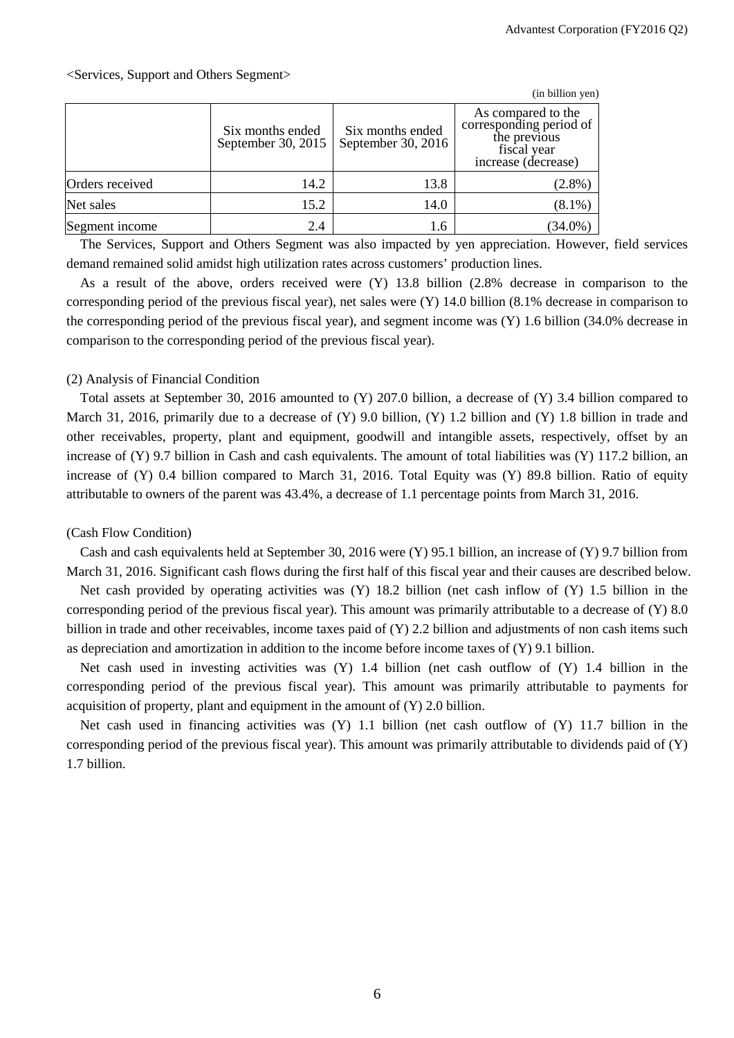|                 |                                        |                                        | (in billion yen)                                                                                    |
|-----------------|----------------------------------------|----------------------------------------|-----------------------------------------------------------------------------------------------------|
|                 | Six months ended<br>September 30, 2015 | Six months ended<br>September 30, 2016 | As compared to the<br>corresponding period of<br>the previous<br>fiscal year<br>increase (decrease) |
| Orders received | 14.2                                   | 13.8                                   | $(2.8\%)$                                                                                           |
| Net sales       | 15.2                                   | 14.0                                   | $(8.1\%)$                                                                                           |
| Segment income  | 2.4                                    | 1.6                                    | $(34.0\%)$                                                                                          |

The Services, Support and Others Segment was also impacted by yen appreciation. However, field services demand remained solid amidst high utilization rates across customers' production lines.

As a result of the above, orders received were (Y) 13.8 billion (2.8% decrease in comparison to the corresponding period of the previous fiscal year), net sales were (Y) 14.0 billion (8.1% decrease in comparison to the corresponding period of the previous fiscal year), and segment income was (Y) 1.6 billion (34.0% decrease in comparison to the corresponding period of the previous fiscal year).

#### (2) Analysis of Financial Condition

Total assets at September 30, 2016 amounted to (Y) 207.0 billion, a decrease of (Y) 3.4 billion compared to March 31, 2016, primarily due to a decrease of (Y) 9.0 billion, (Y) 1.2 billion and (Y) 1.8 billion in trade and other receivables, property, plant and equipment, goodwill and intangible assets, respectively, offset by an increase of  $(Y)$  9.7 billion in Cash and cash equivalents. The amount of total liabilities was  $(Y)$  117.2 billion, an increase of (Y) 0.4 billion compared to March 31, 2016. Total Equity was (Y) 89.8 billion. Ratio of equity attributable to owners of the parent was 43.4%, a decrease of 1.1 percentage points from March 31, 2016.

## (Cash Flow Condition)

Cash and cash equivalents held at September 30, 2016 were (Y) 95.1 billion, an increase of (Y) 9.7 billion from March 31, 2016. Significant cash flows during the first half of this fiscal year and their causes are described below.

Net cash provided by operating activities was  $(Y)$  18.2 billion (net cash inflow of  $(Y)$  1.5 billion in the corresponding period of the previous fiscal year). This amount was primarily attributable to a decrease of (Y) 8.0 billion in trade and other receivables, income taxes paid of (Y) 2.2 billion and adjustments of non cash items such as depreciation and amortization in addition to the income before income taxes of  $(Y)$  9.1 billion.

Net cash used in investing activities was (Y) 1.4 billion (net cash outflow of (Y) 1.4 billion in the corresponding period of the previous fiscal year). This amount was primarily attributable to payments for acquisition of property, plant and equipment in the amount of (Y) 2.0 billion.

Net cash used in financing activities was  $(Y)$  1.1 billion (net cash outflow of  $(Y)$  11.7 billion in the corresponding period of the previous fiscal year). This amount was primarily attributable to dividends paid of (Y) 1.7 billion.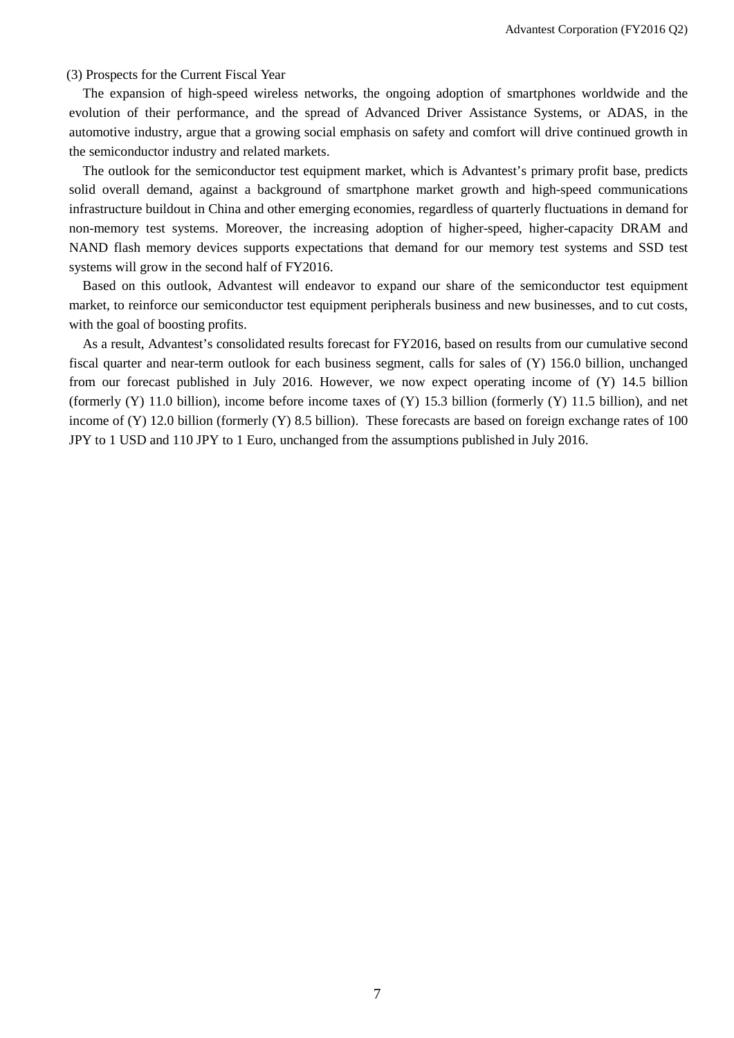#### (3) Prospects for the Current Fiscal Year

The expansion of high-speed wireless networks, the ongoing adoption of smartphones worldwide and the evolution of their performance, and the spread of Advanced Driver Assistance Systems, or ADAS, in the automotive industry, argue that a growing social emphasis on safety and comfort will drive continued growth in the semiconductor industry and related markets.

The outlook for the semiconductor test equipment market, which is Advantest's primary profit base, predicts solid overall demand, against a background of smartphone market growth and high-speed communications infrastructure buildout in China and other emerging economies, regardless of quarterly fluctuations in demand for non-memory test systems. Moreover, the increasing adoption of higher-speed, higher-capacity DRAM and NAND flash memory devices supports expectations that demand for our memory test systems and SSD test systems will grow in the second half of FY2016.

Based on this outlook, Advantest will endeavor to expand our share of the semiconductor test equipment market, to reinforce our semiconductor test equipment peripherals business and new businesses, and to cut costs, with the goal of boosting profits.

As a result, Advantest's consolidated results forecast for FY2016, based on results from our cumulative second fiscal quarter and near-term outlook for each business segment, calls for sales of (Y) 156.0 billion, unchanged from our forecast published in July 2016. However, we now expect operating income of (Y) 14.5 billion (formerly  $(Y)$  11.0 billion), income before income taxes of  $(Y)$  15.3 billion (formerly  $(Y)$  11.5 billion), and net income of (Y) 12.0 billion (formerly (Y) 8.5 billion). These forecasts are based on foreign exchange rates of 100 JPY to 1 USD and 110 JPY to 1 Euro, unchanged from the assumptions published in July 2016.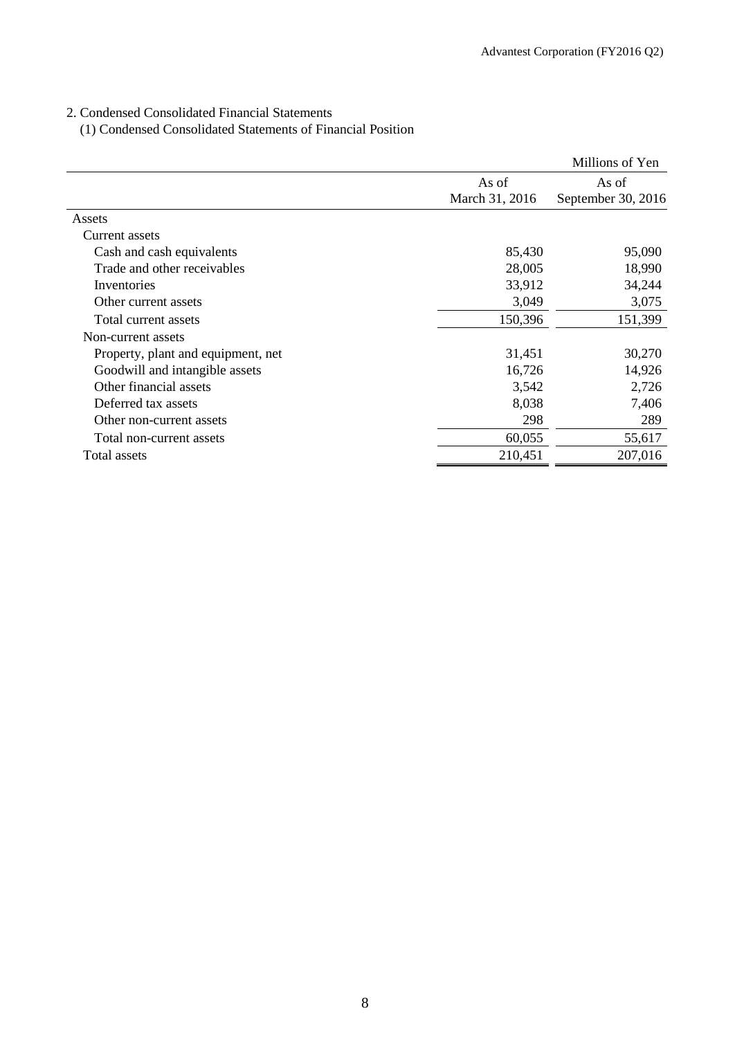# 2. Condensed Consolidated Financial Statements

(1) Condensed Consolidated Statements of Financial Position

|                                    |                         | Millions of Yen             |
|------------------------------------|-------------------------|-----------------------------|
|                                    | As of<br>March 31, 2016 | As of<br>September 30, 2016 |
| Assets                             |                         |                             |
| Current assets                     |                         |                             |
| Cash and cash equivalents          | 85,430                  | 95,090                      |
| Trade and other receivables        | 28,005                  | 18,990                      |
| Inventories                        | 33,912                  | 34,244                      |
| Other current assets               | 3,049                   | 3,075                       |
| Total current assets               | 150,396                 | 151,399                     |
| Non-current assets                 |                         |                             |
| Property, plant and equipment, net | 31,451                  | 30,270                      |
| Goodwill and intangible assets     | 16,726                  | 14,926                      |
| Other financial assets             | 3,542                   | 2,726                       |
| Deferred tax assets                | 8,038                   | 7,406                       |
| Other non-current assets           | 298                     | 289                         |
| Total non-current assets           | 60,055                  | 55,617                      |
| Total assets                       | 210,451                 | 207,016                     |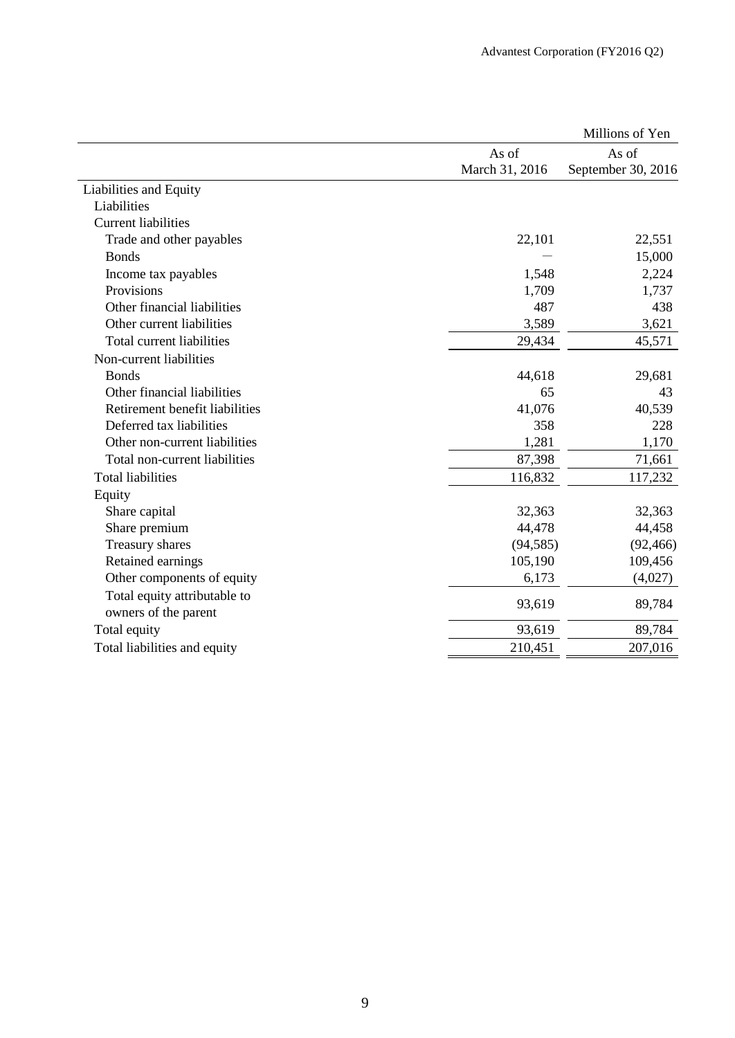|                                |                | Millions of Yen    |
|--------------------------------|----------------|--------------------|
|                                | As of          | As of              |
|                                | March 31, 2016 | September 30, 2016 |
| Liabilities and Equity         |                |                    |
| Liabilities                    |                |                    |
| <b>Current liabilities</b>     |                |                    |
| Trade and other payables       | 22,101         | 22,551             |
| <b>Bonds</b>                   |                | 15,000             |
| Income tax payables            | 1,548          | 2,224              |
| Provisions                     | 1,709          | 1,737              |
| Other financial liabilities    | 487            | 438                |
| Other current liabilities      | 3,589          | 3,621              |
| Total current liabilities      | 29,434         | 45,571             |
| Non-current liabilities        |                |                    |
| <b>Bonds</b>                   | 44,618         | 29,681             |
| Other financial liabilities    | 65             | 43                 |
| Retirement benefit liabilities | 41,076         | 40,539             |
| Deferred tax liabilities       | 358            | 228                |
| Other non-current liabilities  | 1,281          | 1,170              |
| Total non-current liabilities  | 87,398         | 71,661             |
| <b>Total liabilities</b>       | 116,832        | 117,232            |
| Equity                         |                |                    |
| Share capital                  | 32,363         | 32,363             |
| Share premium                  | 44,478         | 44,458             |
| Treasury shares                | (94, 585)      | (92, 466)          |
| Retained earnings              | 105,190        | 109,456            |
| Other components of equity     | 6,173          | (4,027)            |
| Total equity attributable to   | 93,619         |                    |
| owners of the parent           |                | 89,784             |
| Total equity                   | 93,619         | 89,784             |
| Total liabilities and equity   | 210,451        | 207,016            |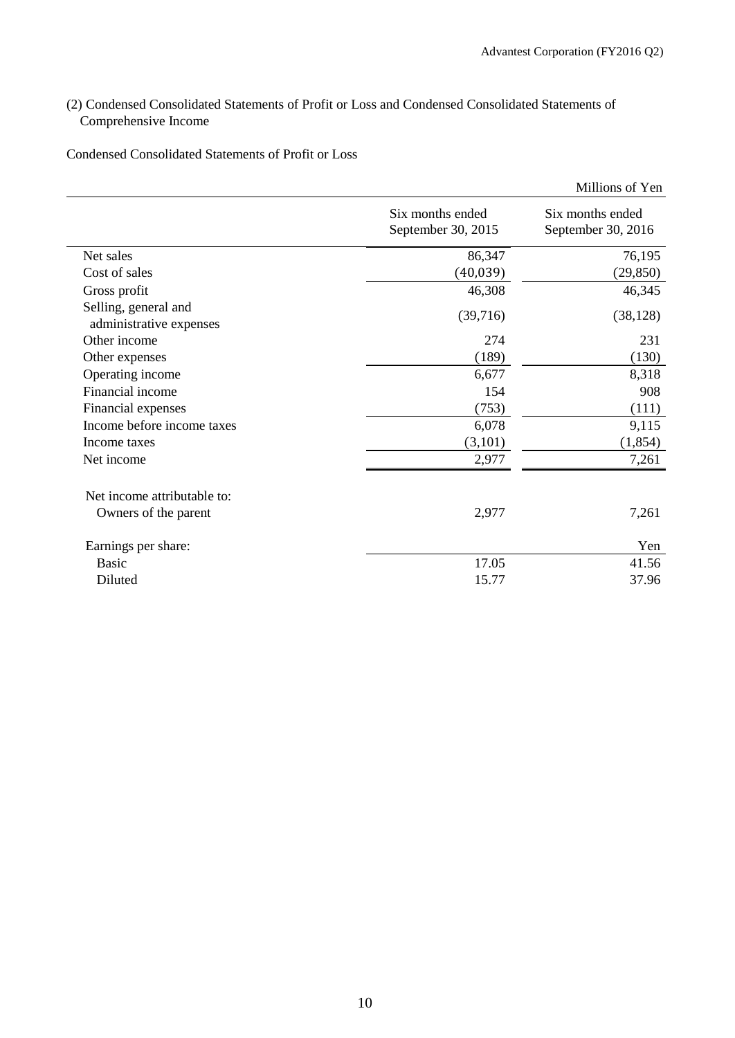# (2) Condensed Consolidated Statements of Profit or Loss and Condensed Consolidated Statements of Comprehensive Income

Condensed Consolidated Statements of Profit or Loss

|                                                 |                                        | Millions of Yen                        |
|-------------------------------------------------|----------------------------------------|----------------------------------------|
|                                                 | Six months ended<br>September 30, 2015 | Six months ended<br>September 30, 2016 |
| Net sales                                       | 86,347                                 | 76,195                                 |
| Cost of sales                                   | (40, 039)                              | (29, 850)                              |
| Gross profit                                    | 46,308                                 | 46,345                                 |
| Selling, general and<br>administrative expenses | (39,716)                               | (38, 128)                              |
| Other income                                    | 274                                    | 231                                    |
| Other expenses                                  | (189)                                  | (130)                                  |
| Operating income                                | 6,677                                  | 8,318                                  |
| Financial income                                | 154                                    | 908                                    |
| Financial expenses                              | (753)                                  | (111)                                  |
| Income before income taxes                      | 6,078                                  | 9,115                                  |
| Income taxes                                    | (3,101)                                | (1, 854)                               |
| Net income                                      | 2,977                                  | 7,261                                  |
| Net income attributable to:                     |                                        |                                        |
| Owners of the parent                            | 2,977                                  | 7,261                                  |
| Earnings per share:                             |                                        | Yen                                    |
| <b>Basic</b>                                    | 17.05                                  | 41.56                                  |
| Diluted                                         | 15.77                                  | 37.96                                  |
|                                                 |                                        |                                        |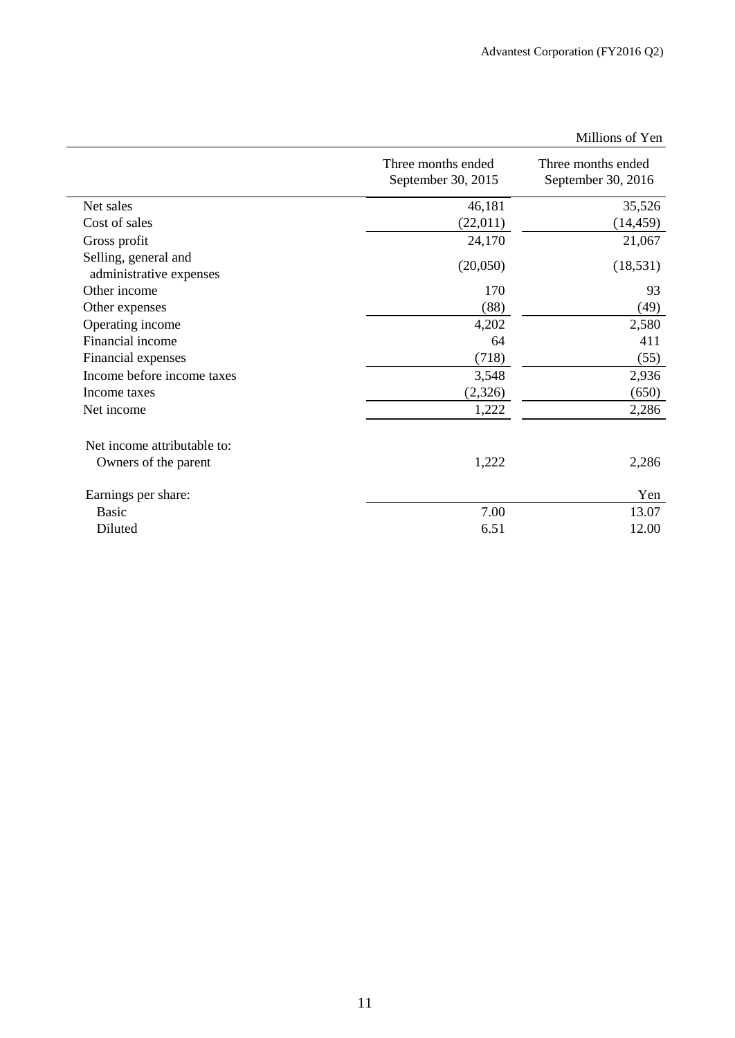|                                                 |                                          | Millions of Yen                          |
|-------------------------------------------------|------------------------------------------|------------------------------------------|
|                                                 | Three months ended<br>September 30, 2015 | Three months ended<br>September 30, 2016 |
| Net sales                                       | 46,181                                   | 35,526                                   |
| Cost of sales                                   | (22,011)                                 | (14, 459)                                |
| Gross profit                                    | 24,170                                   | 21,067                                   |
| Selling, general and<br>administrative expenses | (20,050)                                 | (18, 531)                                |
| Other income                                    | 170                                      | 93                                       |
| Other expenses                                  | (88)                                     | (49)                                     |
| Operating income                                | 4,202                                    | 2,580                                    |
| Financial income                                | 64                                       | 411                                      |
| Financial expenses                              | (718)                                    | (55)                                     |
| Income before income taxes                      | 3,548                                    | 2,936                                    |
| Income taxes                                    | (2,326)                                  | (650)                                    |
| Net income                                      | 1,222                                    | 2,286                                    |
| Net income attributable to:                     |                                          |                                          |
| Owners of the parent                            | 1,222                                    | 2,286                                    |
| Earnings per share:                             |                                          | Yen                                      |
| <b>Basic</b>                                    | 7.00                                     | 13.07                                    |
| Diluted                                         | 6.51                                     | 12.00                                    |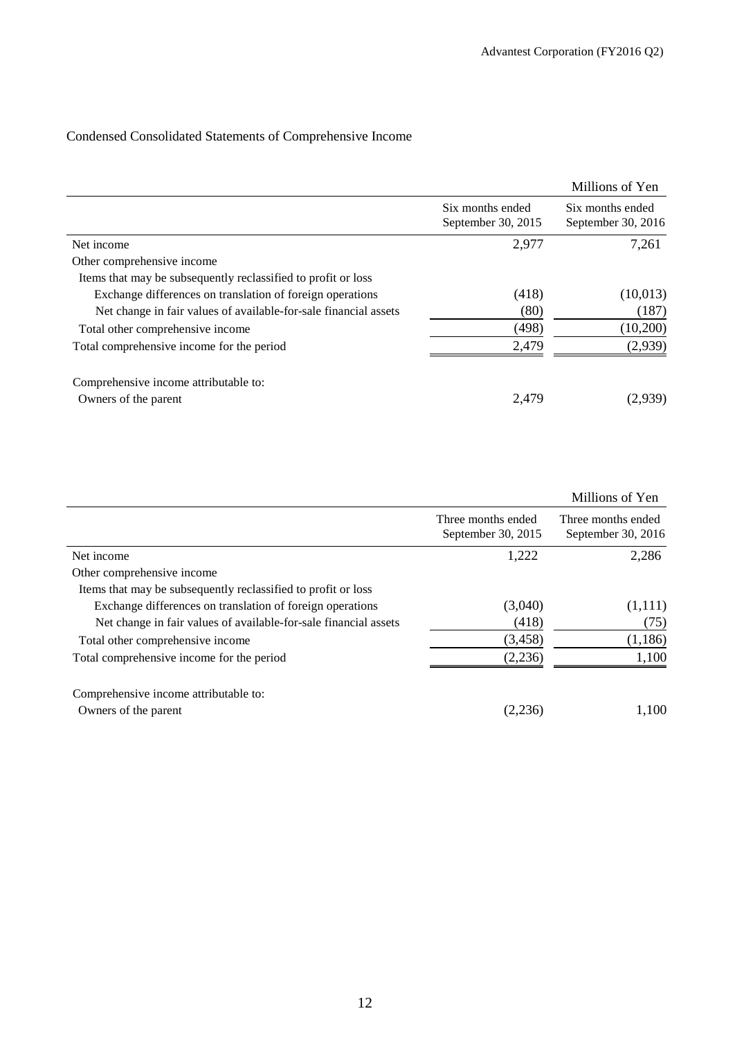# Condensed Consolidated Statements of Comprehensive Income

|                                                                  |                                        | Millions of Yen                        |
|------------------------------------------------------------------|----------------------------------------|----------------------------------------|
|                                                                  | Six months ended<br>September 30, 2015 | Six months ended<br>September 30, 2016 |
| Net income                                                       | 2,977                                  | 7,261                                  |
| Other comprehensive income                                       |                                        |                                        |
| Items that may be subsequently reclassified to profit or loss    |                                        |                                        |
| Exchange differences on translation of foreign operations        | (418)                                  | (10,013)                               |
| Net change in fair values of available-for-sale financial assets | (80)                                   | (187)                                  |
| Total other comprehensive income                                 | (498)                                  | (10,200)                               |
| Total comprehensive income for the period                        | 2,479                                  | (2,939)                                |
| Comprehensive income attributable to:                            |                                        |                                        |
| Owners of the parent                                             | 2,479                                  | (2,939)                                |

|                                                                  |                                          | Millions of Yen                          |
|------------------------------------------------------------------|------------------------------------------|------------------------------------------|
|                                                                  | Three months ended<br>September 30, 2015 | Three months ended<br>September 30, 2016 |
| Net income                                                       | 1,222                                    | 2,286                                    |
| Other comprehensive income                                       |                                          |                                          |
| Items that may be subsequently reclassified to profit or loss    |                                          |                                          |
| Exchange differences on translation of foreign operations        | (3,040)                                  | (1,111)                                  |
| Net change in fair values of available-for-sale financial assets | (418)                                    | (75)                                     |
| Total other comprehensive income                                 | (3, 458)                                 | (1,186)                                  |
| Total comprehensive income for the period                        | (2,236)                                  | 1,100                                    |
| Comprehensive income attributable to:                            |                                          |                                          |
| Owners of the parent                                             | (2,236)                                  | 1,100                                    |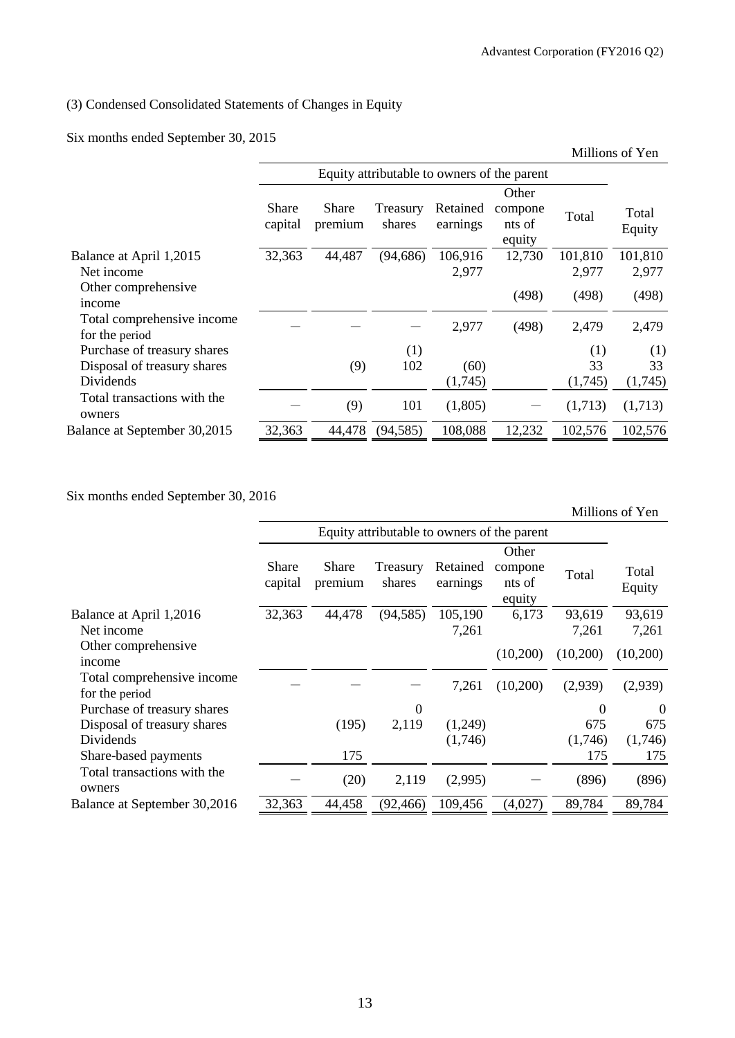# (3) Condensed Consolidated Statements of Changes in Equity

Six months ended September 30, 2015

| Millions of Yen                             |                  |                    |                      |                                      |                  |                  |
|---------------------------------------------|------------------|--------------------|----------------------|--------------------------------------|------------------|------------------|
| Equity attributable to owners of the parent |                  |                    |                      |                                      |                  |                  |
| Share<br>capital                            | Share<br>premium | Treasury<br>shares | Retained<br>earnings | Other<br>compone<br>nts of<br>equity | Total            | Total<br>Equity  |
| 32,363                                      | 44,487           | (94, 686)          | 106,916<br>2,977     | 12,730                               | 101,810<br>2,977 | 101,810<br>2,977 |
|                                             |                  |                    |                      | (498)                                | (498)            | (498)            |
|                                             |                  |                    | 2,977                | (498)                                | 2,479            | 2,479            |
|                                             |                  | (1)                |                      |                                      | (1)              | (1)              |
|                                             | (9)              | 102                | (60)                 |                                      | 33               | 33               |
|                                             |                  |                    | (1,745)              |                                      | (1,745)          | (1,745)          |
|                                             | (9)              | 101                | (1,805)              |                                      | (1,713)          | (1,713)          |
| 32,363                                      | 44,478           | (94, 585)          | 108,088              | 12,232                               | 102,576          | 102,576          |
|                                             |                  |                    |                      |                                      |                  |                  |

Six months ended September 30, 2016

|                                              |                                             |                  |                    |                      |                                      |          | Millions of Yen  |
|----------------------------------------------|---------------------------------------------|------------------|--------------------|----------------------|--------------------------------------|----------|------------------|
|                                              | Equity attributable to owners of the parent |                  |                    |                      |                                      |          |                  |
|                                              | Share<br>capital                            | Share<br>premium | Treasury<br>shares | Retained<br>earnings | Other<br>compone<br>nts of<br>equity | Total    | Total<br>Equity  |
| Balance at April 1,2016                      | 32,363                                      | 44,478           | (94, 585)          | 105,190              | 6,173                                | 93,619   | 93,619           |
| Net income                                   |                                             |                  |                    | 7,261                |                                      | 7,261    | 7,261            |
| Other comprehensive<br>income                |                                             |                  |                    |                      | (10,200)                             | (10,200) | (10,200)         |
| Total comprehensive income<br>for the period |                                             |                  |                    | 7,261                | (10,200)                             | (2,939)  | (2,939)          |
| Purchase of treasury shares                  |                                             |                  | $\theta$           |                      |                                      | $\Omega$ | $\boldsymbol{0}$ |
| Disposal of treasury shares                  |                                             | (195)            | 2,119              | (1,249)              |                                      | 675      | 675              |
| Dividends                                    |                                             |                  |                    | (1,746)              |                                      | (1,746)  | (1,746)          |
| Share-based payments                         |                                             | 175              |                    |                      |                                      | 175      | 175              |
| Total transactions with the<br>owners        |                                             | (20)             | 2,119              | (2,995)              |                                      | (896)    | (896)            |
| Balance at September 30,2016                 | 32,363                                      | 44,458           | (92, 466)          | 109,456              | (4,027)                              | 89,784   | 89,784           |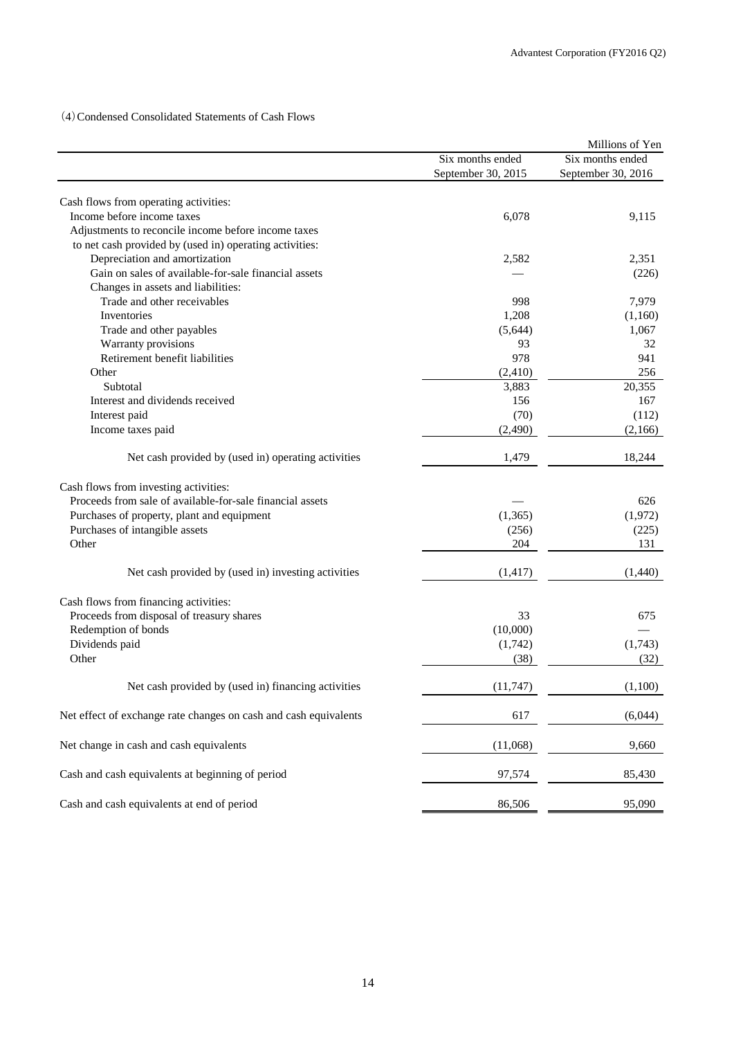(4)Condensed Consolidated Statements of Cash Flows

|                                                                  |                    | Millions of Yen    |
|------------------------------------------------------------------|--------------------|--------------------|
|                                                                  | Six months ended   | Six months ended   |
|                                                                  | September 30, 2015 | September 30, 2016 |
|                                                                  |                    |                    |
| Cash flows from operating activities:                            |                    |                    |
| Income before income taxes                                       | 6,078              | 9,115              |
| Adjustments to reconcile income before income taxes              |                    |                    |
| to net cash provided by (used in) operating activities:          |                    |                    |
| Depreciation and amortization                                    | 2,582              | 2,351              |
| Gain on sales of available-for-sale financial assets             |                    | (226)              |
| Changes in assets and liabilities:                               |                    |                    |
| Trade and other receivables                                      | 998                | 7,979              |
| Inventories                                                      | 1,208              | (1,160)            |
| Trade and other payables                                         | (5,644)            | 1,067              |
| Warranty provisions                                              | 93                 | 32                 |
| Retirement benefit liabilities                                   | 978                | 941                |
| Other                                                            | (2,410)            | 256                |
| Subtotal                                                         | 3,883              | 20,355             |
| Interest and dividends received                                  | 156                | 167                |
| Interest paid                                                    | (70)               | (112)              |
| Income taxes paid                                                | (2,490)            | (2,166)            |
| Net cash provided by (used in) operating activities              | 1,479              | 18,244             |
| Cash flows from investing activities:                            |                    |                    |
| Proceeds from sale of available-for-sale financial assets        |                    | 626                |
| Purchases of property, plant and equipment                       | (1, 365)           | (1,972)            |
| Purchases of intangible assets                                   | (256)              | (225)              |
| Other                                                            | 204                | 131                |
| Net cash provided by (used in) investing activities              | (1, 417)           | (1,440)            |
| Cash flows from financing activities:                            |                    |                    |
| Proceeds from disposal of treasury shares                        | 33                 | 675                |
| Redemption of bonds                                              | (10,000)           |                    |
| Dividends paid                                                   | (1,742)            | (1,743)            |
| Other                                                            |                    |                    |
|                                                                  | (38)               | (32)               |
| Net cash provided by (used in) financing activities              | (11, 747)          | (1,100)            |
| Net effect of exchange rate changes on cash and cash equivalents | 617                | (6,044)            |
| Net change in cash and cash equivalents                          | (11,068)           | 9,660              |
| Cash and cash equivalents at beginning of period                 | 97,574             | 85,430             |
| Cash and cash equivalents at end of period                       | 86,506             | 95,090             |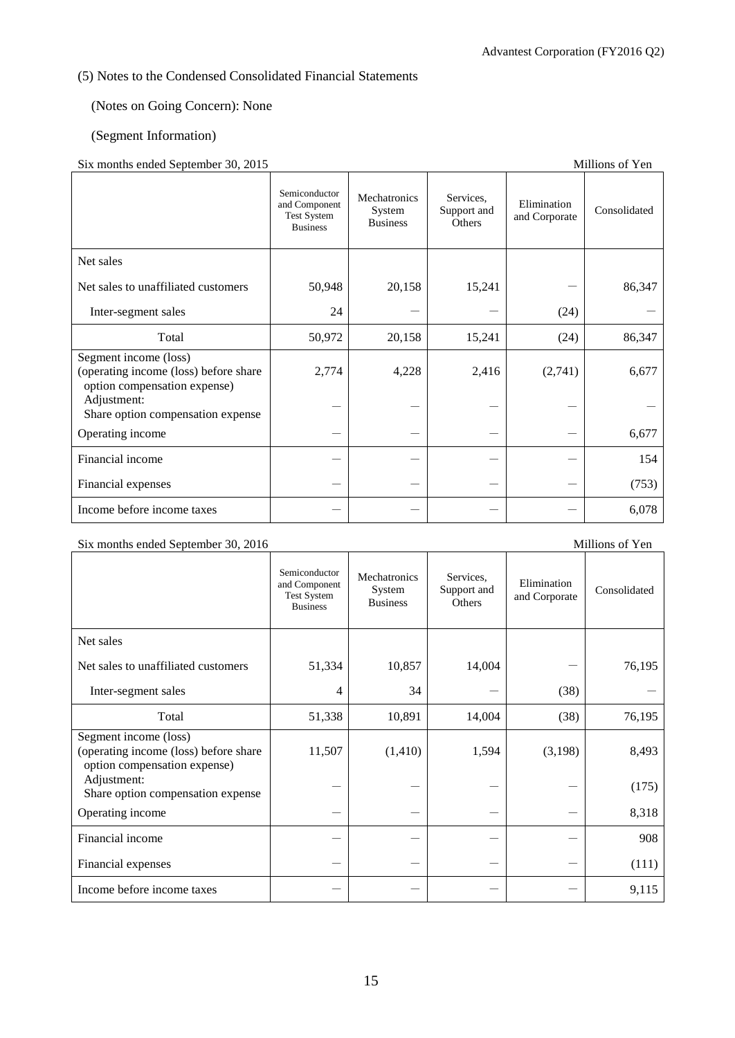# (5) Notes to the Condensed Consolidated Financial Statements

# (Notes on Going Concern): None

## (Segment Information)

## Six months ended September 30, 2015 Millions of Yen

| $\mu$ a months chucu beptember 50, 2015                                                        |                                                                         |                                           |                                    |                              | THILIOUS OF FOR |
|------------------------------------------------------------------------------------------------|-------------------------------------------------------------------------|-------------------------------------------|------------------------------------|------------------------------|-----------------|
|                                                                                                | Semiconductor<br>and Component<br><b>Test System</b><br><b>Business</b> | Mechatronics<br>System<br><b>Business</b> | Services.<br>Support and<br>Others | Elimination<br>and Corporate | Consolidated    |
| Net sales                                                                                      |                                                                         |                                           |                                    |                              |                 |
| Net sales to unaffiliated customers                                                            | 50,948                                                                  | 20,158                                    | 15,241                             |                              | 86,347          |
| Inter-segment sales                                                                            | 24                                                                      |                                           |                                    | (24)                         |                 |
| Total                                                                                          | 50,972                                                                  | 20,158                                    | 15,241                             | (24)                         | 86,347          |
| Segment income (loss)<br>(operating income (loss) before share<br>option compensation expense) | 2,774                                                                   | 4,228                                     | 2,416                              | (2,741)                      | 6,677           |
| Adjustment:<br>Share option compensation expense                                               |                                                                         |                                           |                                    |                              |                 |
| Operating income                                                                               |                                                                         |                                           |                                    |                              | 6,677           |
| Financial income                                                                               |                                                                         |                                           |                                    |                              | 154             |
| Financial expenses                                                                             |                                                                         |                                           |                                    |                              | (753)           |
| Income before income taxes                                                                     |                                                                         |                                           |                                    |                              | 6,078           |

# Six months ended September 30, 2016 Millions of Yen

|                                                                                                | Semiconductor<br>and Component<br><b>Test System</b><br><b>Business</b> | Mechatronics<br>System<br><b>Business</b> | Services,<br>Support and<br><b>Others</b> | Elimination<br>and Corporate | Consolidated |
|------------------------------------------------------------------------------------------------|-------------------------------------------------------------------------|-------------------------------------------|-------------------------------------------|------------------------------|--------------|
| Net sales                                                                                      |                                                                         |                                           |                                           |                              |              |
| Net sales to unaffiliated customers                                                            | 51,334                                                                  | 10,857                                    | 14,004                                    |                              | 76,195       |
| Inter-segment sales                                                                            | 4                                                                       | 34                                        |                                           | (38)                         |              |
| Total                                                                                          | 51,338                                                                  | 10,891                                    | 14,004                                    | (38)                         | 76,195       |
| Segment income (loss)<br>(operating income (loss) before share<br>option compensation expense) | 11,507                                                                  | (1, 410)                                  | 1,594                                     | (3,198)                      | 8,493        |
| Adjustment:<br>Share option compensation expense                                               |                                                                         |                                           |                                           |                              | (175)        |
| Operating income                                                                               |                                                                         |                                           |                                           |                              | 8,318        |
| Financial income                                                                               |                                                                         |                                           |                                           |                              | 908          |
| Financial expenses                                                                             |                                                                         |                                           |                                           |                              | (111)        |
| Income before income taxes                                                                     |                                                                         |                                           |                                           |                              | 9,115        |